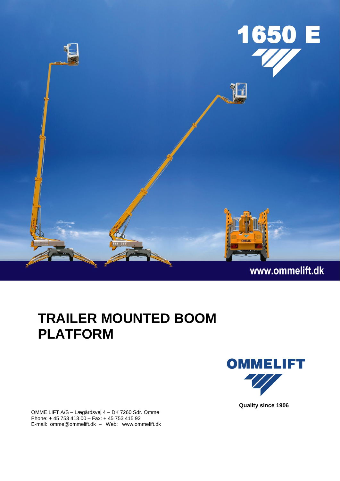

## **TRAILER MOUNTED BOOM PLATFORM**

**OMMELIFT** 

OMME LIFT A/S – Lægårdsvej 4 – DK 7260 Sdr. Omme Phone: + 45 753 413 00 – Fax: + 45 753 415 92 E-mail: omme@ommelift.dk – Web: www.ommelift.dk **Quality since 1906**